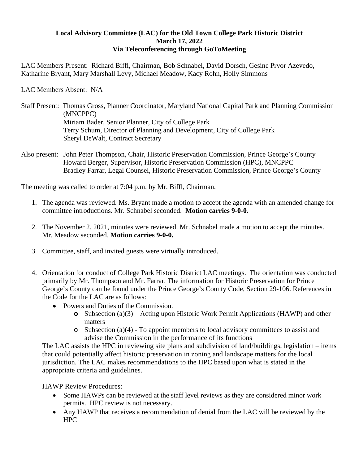## **Local Advisory Committee (LAC) for the Old Town College Park Historic District March 17, 2022 Via Teleconferencing through GoToMeeting**

LAC Members Present: Richard Biffl, Chairman, Bob Schnabel, David Dorsch, Gesine Pryor Azevedo, Katharine Bryant, Mary Marshall Levy, Michael Meadow, Kacy Rohn, Holly Simmons

LAC Members Absent: N/A

- Staff Present: Thomas Gross, Planner Coordinator, Maryland National Capital Park and Planning Commission (MNCPPC) Miriam Bader, Senior Planner, City of College Park Terry Schum, Director of Planning and Development, City of College Park Sheryl DeWalt, Contract Secretary
- Also present: John Peter Thompson, Chair, Historic Preservation Commission, Prince George's County Howard Berger, Supervisor, Historic Preservation Commission (HPC), MNCPPC Bradley Farrar, Legal Counsel, Historic Preservation Commission, Prince George's County

The meeting was called to order at 7:04 p.m. by Mr. Biffl, Chairman.

- 1. The agenda was reviewed. Ms. Bryant made a motion to accept the agenda with an amended change for committee introductions. Mr. Schnabel seconded. **Motion carries 9-0-0.**
- 2. The November 2, 2021, minutes were reviewed. Mr. Schnabel made a motion to accept the minutes. Mr. Meadow seconded. **Motion carries 9-0-0.**
- 3. Committee, staff, and invited guests were virtually introduced.
- 4. Orientation for conduct of College Park Historic District LAC meetings. The orientation was conducted primarily by Mr. Thompson and Mr. Farrar. The information for Historic Preservation for Prince George's County can be found under the Prince George's County Code, Section 29-106. References in the Code for the LAC are as follows:
	- Powers and Duties of the Commission.
		- **o** Subsection (a)(3) Acting upon Historic Work Permit Applications (HAWP) and other matters
		- $\circ$  Subsection (a)(4) To appoint members to local advisory committees to assist and advise the Commission in the performance of its functions

The LAC assists the HPC in reviewing site plans and subdivision of land/buildings, legislation – items that could potentially affect historic preservation in zoning and landscape matters for the local jurisdiction. The LAC makes recommendations to the HPC based upon what is stated in the appropriate criteria and guidelines.

HAWP Review Procedures:

- Some HAWPs can be reviewed at the staff level reviews as they are considered minor work permits. HPC review is not necessary.
- Any HAWP that receives a recommendation of denial from the LAC will be reviewed by the HPC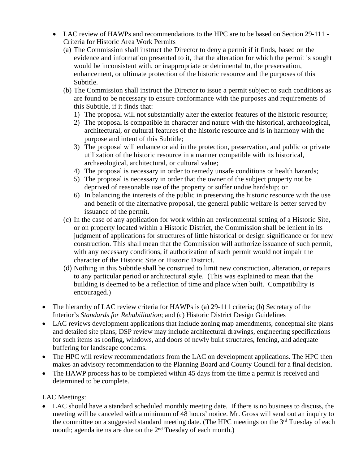- LAC review of HAWPs and recommendations to the HPC are to be based on Section 29-111 Criteria for Historic Area Work Permits
	- (a) The Commission shall instruct the Director to deny a permit if it finds, based on the evidence and information presented to it, that the alteration for which the permit is sought would be inconsistent with, or inappropriate or detrimental to, the preservation, enhancement, or ultimate protection of the historic resource and the purposes of this Subtitle.
	- (b) The Commission shall instruct the Director to issue a permit subject to such conditions as are found to be necessary to ensure conformance with the purposes and requirements of this Subtitle, if it finds that:
		- 1) The proposal will not substantially alter the exterior features of the historic resource;
		- 2) The proposal is compatible in character and nature with the historical, archaeological, architectural, or cultural features of the historic resource and is in harmony with the purpose and intent of this Subtitle;
		- 3) The proposal will enhance or aid in the protection, preservation, and public or private utilization of the historic resource in a manner compatible with its historical, archaeological, architectural, or cultural value;
		- 4) The proposal is necessary in order to remedy unsafe conditions or health hazards;
		- 5) The proposal is necessary in order that the owner of the subject property not be deprived of reasonable use of the property or suffer undue hardship; or
		- 6) In balancing the interests of the public in preserving the historic resource with the use and benefit of the alternative proposal, the general public welfare is better served by issuance of the permit.
	- (c) In the case of any application for work within an environmental setting of a Historic Site, or on property located within a Historic District, the Commission shall be lenient in its judgment of applications for structures of little historical or design significance or for new construction. This shall mean that the Commission will authorize issuance of such permit, with any necessary conditions, if authorization of such permit would not impair the character of the Historic Site or Historic District.
	- (d) Nothing in this Subtitle shall be construed to limit new construction, alteration, or repairs to any particular period or architectural style. (This was explained to mean that the building is deemed to be a reflection of time and place when built. Compatibility is encouraged.)
- The hierarchy of LAC review criteria for HAWPs is (a) 29-111 criteria; (b) Secretary of the Interior's *Standards for Rehabilitation*; and (c) Historic District Design Guidelines
- LAC reviews development applications that include zoning map amendments, conceptual site plans and detailed site plans; DSP review may include architectural drawings, engineering specifications for such items as roofing, windows, and doors of newly built structures, fencing, and adequate buffering for landscape concerns.
- The HPC will review recommendations from the LAC on development applications. The HPC then makes an advisory recommendation to the Planning Board and County Council for a final decision.
- The HAWP process has to be completed within 45 days from the time a permit is received and determined to be complete.

LAC Meetings:

 LAC should have a standard scheduled monthly meeting date. If there is no business to discuss, the meeting will be canceled with a minimum of 48 hours' notice. Mr. Gross will send out an inquiry to the committee on a suggested standard meeting date. (The HPC meetings on the 3<sup>rd</sup> Tuesday of each month; agenda items are due on the 2<sup>nd</sup> Tuesday of each month.)